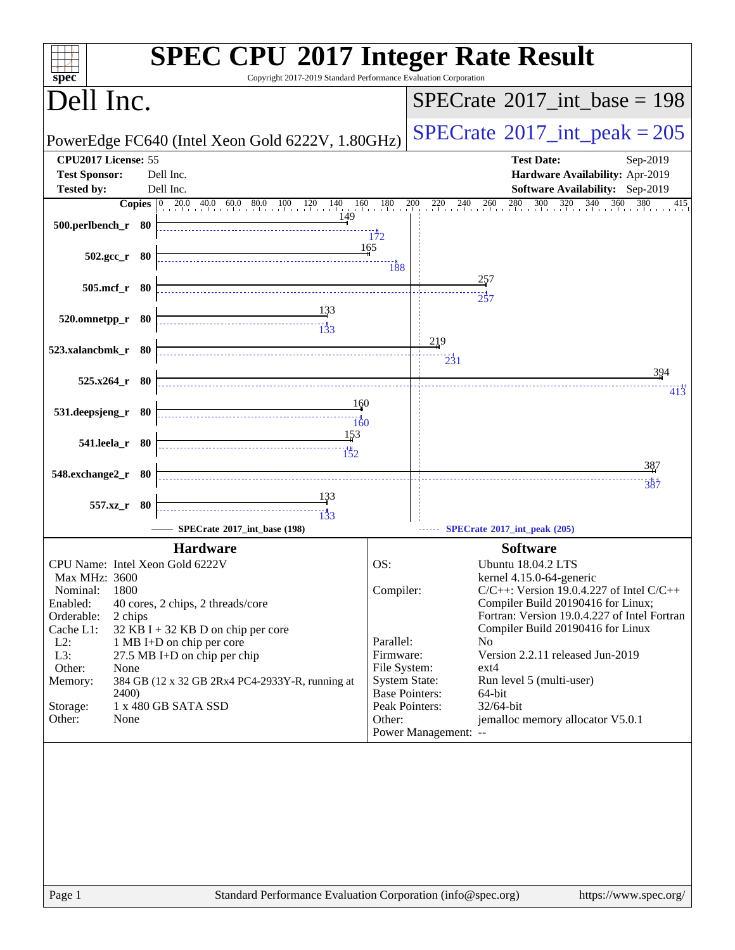| <b>SPEC CPU®2017 Integer Rate Result</b><br>$s\overline{pec}$<br>Copyright 2017-2019 Standard Performance Evaluation Corporation                                                                                |                                                                                                                                                                                                           |  |  |  |  |  |
|-----------------------------------------------------------------------------------------------------------------------------------------------------------------------------------------------------------------|-----------------------------------------------------------------------------------------------------------------------------------------------------------------------------------------------------------|--|--|--|--|--|
| Dell Inc.                                                                                                                                                                                                       | $SPECrate^{\circledast}2017\_int\_base = 198$                                                                                                                                                             |  |  |  |  |  |
| PowerEdge FC640 (Intel Xeon Gold 6222V, 1.80GHz)                                                                                                                                                                | $SPECTate@2017_int\_peak = 205$                                                                                                                                                                           |  |  |  |  |  |
| CPU2017 License: 55<br><b>Test Sponsor:</b><br>Dell Inc.<br>Dell Inc.<br><b>Tested by:</b>                                                                                                                      | <b>Test Date:</b><br>Sep-2019<br>Hardware Availability: Apr-2019<br><b>Software Availability:</b> Sep-2019                                                                                                |  |  |  |  |  |
| 149<br>500.perlbench_r 80                                                                                                                                                                                       | <b>Copies</b> $\begin{bmatrix} 0 & 20.0 & 40.0 & 60.0 & 80.0 & 100 & 120 & 140 & 160 & 180 & 200 & 220 & 240 & 260 & 280 & 300 & 320 & 340 & 360 & 380 \end{bmatrix}$<br>415                              |  |  |  |  |  |
| $502.\text{gcc}_r$ 80                                                                                                                                                                                           | 172<br>165                                                                                                                                                                                                |  |  |  |  |  |
| 505.mcf_r 80                                                                                                                                                                                                    | 257                                                                                                                                                                                                       |  |  |  |  |  |
| <u>133</u><br>520.omnetpp_r 80<br>$\begin{array}{c c c c c} \hline \text{} & \text{} & \text{} \\ \hline \text{} & \text{} & \text{} \\ \hline \text{} & \text{} & \text{} \\ \hline \end{array}$               | 219                                                                                                                                                                                                       |  |  |  |  |  |
| 523.xalancbmk_r 80<br>$525.x264$ $r$ 80                                                                                                                                                                         | $\frac{1}{2}31$<br>394                                                                                                                                                                                    |  |  |  |  |  |
| 160<br>531.deepsjeng_r 80<br>160                                                                                                                                                                                | 413                                                                                                                                                                                                       |  |  |  |  |  |
| 153<br>541.leela_r 80                                                                                                                                                                                           |                                                                                                                                                                                                           |  |  |  |  |  |
| 548.exchange2_r 80                                                                                                                                                                                              | 387<br>387                                                                                                                                                                                                |  |  |  |  |  |
| $\begin{array}{c}\n\overbrace{\phantom{133}}\n\end{array}$<br>557.xz_r 80<br>SPECrate®2017 int base (198)                                                                                                       | SPECrate®2017_int_peak (205)                                                                                                                                                                              |  |  |  |  |  |
| <b>Hardware</b>                                                                                                                                                                                                 | <b>Software</b>                                                                                                                                                                                           |  |  |  |  |  |
| CPU Name: Intel Xeon Gold 6222V<br><b>Max MHz: 3600</b><br>Nominal:<br>1800<br>Enabled:<br>40 cores, 2 chips, 2 threads/core<br>Orderable:<br>2 chips                                                           | OS:<br>Ubuntu 18.04.2 LTS<br>kernel 4.15.0-64-generic<br>Compiler:<br>$C/C++$ : Version 19.0.4.227 of Intel $C/C++$<br>Compiler Build 20190416 for Linux;<br>Fortran: Version 19.0.4.227 of Intel Fortran |  |  |  |  |  |
| Cache L1:<br>$32$ KB I + 32 KB D on chip per core<br>$L2$ :<br>1 MB I+D on chip per core<br>L3:<br>27.5 MB I+D on chip per chip<br>Other:<br>None<br>384 GB (12 x 32 GB 2Rx4 PC4-2933Y-R, running at<br>Memory: | Compiler Build 20190416 for Linux<br>Parallel:<br>N <sub>0</sub><br>Version 2.2.11 released Jun-2019<br>Firmware:<br>File System:<br>$ext{4}$<br><b>System State:</b><br>Run level 5 (multi-user)         |  |  |  |  |  |
| 2400)<br>1 x 480 GB SATA SSD<br>Storage:<br>Other:<br>None                                                                                                                                                      | <b>Base Pointers:</b><br>64-bit<br>32/64-bit<br>Peak Pointers:<br>jemalloc memory allocator V5.0.1<br>Other:<br>Power Management: --                                                                      |  |  |  |  |  |
|                                                                                                                                                                                                                 |                                                                                                                                                                                                           |  |  |  |  |  |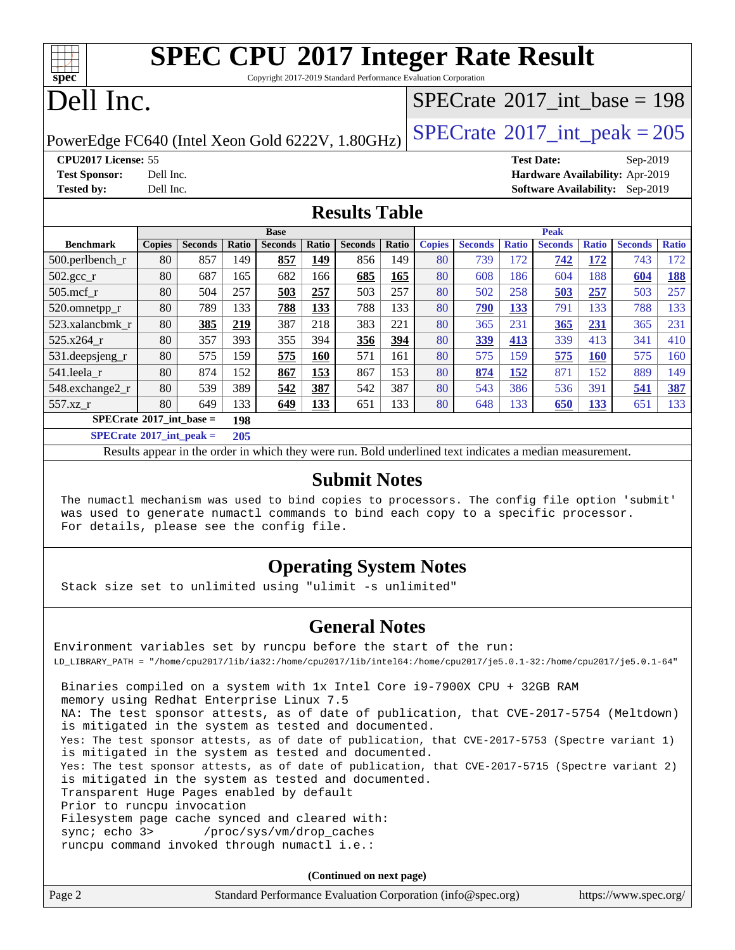# **[spec](http://www.spec.org/)**

# **[SPEC CPU](http://www.spec.org/auto/cpu2017/Docs/result-fields.html#SPECCPU2017IntegerRateResult)[2017 Integer Rate Result](http://www.spec.org/auto/cpu2017/Docs/result-fields.html#SPECCPU2017IntegerRateResult)**

Copyright 2017-2019 Standard Performance Evaluation Corporation

# Dell Inc.

### $SPECTate@2017_int\_base = 198$

PowerEdge FC640 (Intel Xeon Gold 6222V, 1.80GHz)  $\left|$  [SPECrate](http://www.spec.org/auto/cpu2017/Docs/result-fields.html#SPECrate2017intpeak)<sup>®</sup>[2017\\_int\\_peak = 2](http://www.spec.org/auto/cpu2017/Docs/result-fields.html#SPECrate2017intpeak)05

**[CPU2017 License:](http://www.spec.org/auto/cpu2017/Docs/result-fields.html#CPU2017License)** 55 **[Test Date:](http://www.spec.org/auto/cpu2017/Docs/result-fields.html#TestDate)** Sep-2019 **[Test Sponsor:](http://www.spec.org/auto/cpu2017/Docs/result-fields.html#TestSponsor)** Dell Inc. **[Hardware Availability:](http://www.spec.org/auto/cpu2017/Docs/result-fields.html#HardwareAvailability)** Apr-2019 **[Tested by:](http://www.spec.org/auto/cpu2017/Docs/result-fields.html#Testedby)** Dell Inc. **[Software Availability:](http://www.spec.org/auto/cpu2017/Docs/result-fields.html#SoftwareAvailability)** Sep-2019

### **[Results Table](http://www.spec.org/auto/cpu2017/Docs/result-fields.html#ResultsTable)**

|                                                                                                        | <b>Base</b>   |                |                   |                | <b>Peak</b> |                |       |               |                |              |                |              |                |              |
|--------------------------------------------------------------------------------------------------------|---------------|----------------|-------------------|----------------|-------------|----------------|-------|---------------|----------------|--------------|----------------|--------------|----------------|--------------|
| <b>Benchmark</b>                                                                                       | <b>Copies</b> | <b>Seconds</b> | Ratio             | <b>Seconds</b> | Ratio       | <b>Seconds</b> | Ratio | <b>Copies</b> | <b>Seconds</b> | <b>Ratio</b> | <b>Seconds</b> | <b>Ratio</b> | <b>Seconds</b> | <b>Ratio</b> |
| 500.perlbench_r                                                                                        | 80            | 857            | 149               | 857            | 149         | 856            | 149   | 80            | 739            | 172          | 742            | 172          | 743            | 172          |
| $502.\text{sec}$ <sub>r</sub>                                                                          | 80            | 687            | 165               | 682            | 166         | 685            | 165   | 80            | 608            | 186          | 604            | 188          | 604            | <b>188</b>   |
| $505$ .mcf r                                                                                           | 80            | 504            | 257               | 503            | 257         | 503            | 257   | 80            | 502            | 258          | 503            | 257          | 503            | 257          |
| 520.omnetpp_r                                                                                          | 80            | 789            | 133               | 788            | 133         | 788            | 133   | 80            | 790            | 133          | 791            | 133          | 788            | 133          |
| 523.xalancbmk r                                                                                        | 80            | 385            | 219               | 387            | 218         | 383            | 221   | 80            | 365            | 231          | 365            | 231          | 365            | 231          |
| $525.x264$ r                                                                                           | 80            | 357            | 393               | 355            | 394         | 356            | 394   | 80            | 339            | 413          | 339            | 413          | 341            | 410          |
| 531.deepsjeng_r                                                                                        | 80            | 575            | 159               | 575            | 160         | 571            | 161   | 80            | 575            | 159          | 575            | <b>160</b>   | 575            | 160          |
| 541.leela r                                                                                            | 80            | 874            | 152               | 867            | 153         | 867            | 153   | 80            | 874            | 152          | 871            | 152          | 889            | 149          |
| 548.exchange2_r                                                                                        | 80            | 539            | 389               | 542            | 387         | 542            | 387   | 80            | 543            | 386          | 536            | 391          | 541            | 387          |
| 557.xz r                                                                                               | 80            | 649            | 133               | 649            | 133         | 651            | 133   | 80            | 648            | 133          | 650            | <u>133</u>   | 651            | 133          |
| $SPECrate^{\circledcirc}2017$ int base =                                                               |               |                | 198               |                |             |                |       |               |                |              |                |              |                |              |
| $CDFC_{\text{tot}}$ $\epsilon_0$ 0017 $\epsilon_1$ $\epsilon_2$ $\epsilon_3$ $\epsilon_4$ $\epsilon_5$ |               |                | $\Delta \Delta F$ |                |             |                |       |               |                |              |                |              |                |              |

**[SPECrate](http://www.spec.org/auto/cpu2017/Docs/result-fields.html#SPECrate2017intpeak)[2017\\_int\\_peak =](http://www.spec.org/auto/cpu2017/Docs/result-fields.html#SPECrate2017intpeak) 205**

Results appear in the [order in which they were run](http://www.spec.org/auto/cpu2017/Docs/result-fields.html#RunOrder). Bold underlined text [indicates a median measurement](http://www.spec.org/auto/cpu2017/Docs/result-fields.html#Median).

### **[Submit Notes](http://www.spec.org/auto/cpu2017/Docs/result-fields.html#SubmitNotes)**

 The numactl mechanism was used to bind copies to processors. The config file option 'submit' was used to generate numactl commands to bind each copy to a specific processor. For details, please see the config file.

### **[Operating System Notes](http://www.spec.org/auto/cpu2017/Docs/result-fields.html#OperatingSystemNotes)**

Stack size set to unlimited using "ulimit -s unlimited"

### **[General Notes](http://www.spec.org/auto/cpu2017/Docs/result-fields.html#GeneralNotes)**

Environment variables set by runcpu before the start of the run: LD\_LIBRARY\_PATH = "/home/cpu2017/lib/ia32:/home/cpu2017/lib/intel64:/home/cpu2017/je5.0.1-32:/home/cpu2017/je5.0.1-64" Binaries compiled on a system with 1x Intel Core i9-7900X CPU + 32GB RAM memory using Redhat Enterprise Linux 7.5 NA: The test sponsor attests, as of date of publication, that CVE-2017-5754 (Meltdown) is mitigated in the system as tested and documented. Yes: The test sponsor attests, as of date of publication, that CVE-2017-5753 (Spectre variant 1) is mitigated in the system as tested and documented. Yes: The test sponsor attests, as of date of publication, that CVE-2017-5715 (Spectre variant 2) is mitigated in the system as tested and documented. Transparent Huge Pages enabled by default Prior to runcpu invocation Filesystem page cache synced and cleared with: sync; echo 3> /proc/sys/vm/drop\_caches runcpu command invoked through numactl i.e.:

**(Continued on next page)**

| Page 2 | Standard Performance Evaluation Corporation (info@spec.org) | https://www.spec.org/ |
|--------|-------------------------------------------------------------|-----------------------|
|        |                                                             |                       |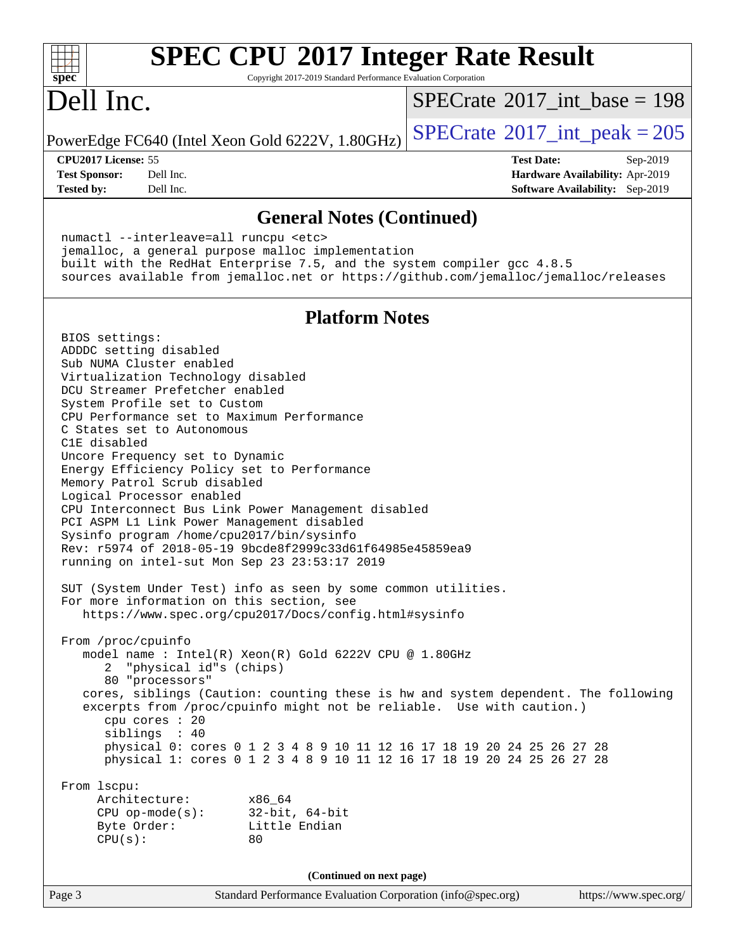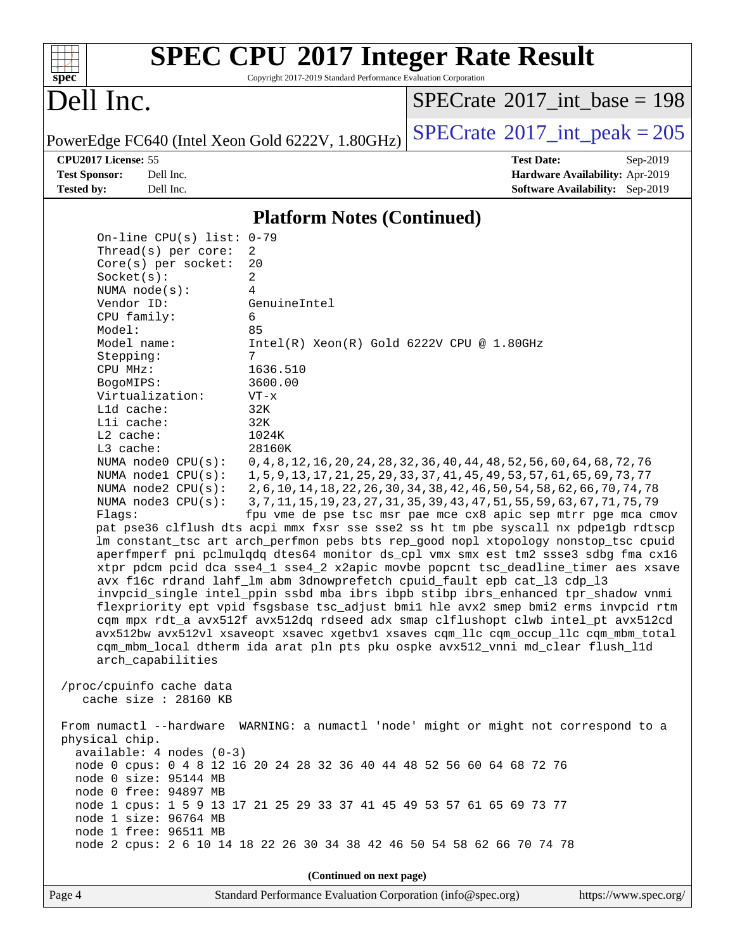

# **[SPEC CPU](http://www.spec.org/auto/cpu2017/Docs/result-fields.html#SPECCPU2017IntegerRateResult)[2017 Integer Rate Result](http://www.spec.org/auto/cpu2017/Docs/result-fields.html#SPECCPU2017IntegerRateResult)**

Copyright 2017-2019 Standard Performance Evaluation Corporation

# Dell Inc.

 $SPECTate$ <sup>®</sup>[2017\\_int\\_base =](http://www.spec.org/auto/cpu2017/Docs/result-fields.html#SPECrate2017intbase) 198

PowerEdge FC640 (Intel Xeon Gold 6222V,  $1.80$ GHz) [SPECrate](http://www.spec.org/auto/cpu2017/Docs/result-fields.html#SPECrate2017intpeak)<sup>®</sup>[2017\\_int\\_peak = 2](http://www.spec.org/auto/cpu2017/Docs/result-fields.html#SPECrate2017intpeak)05

**[Tested by:](http://www.spec.org/auto/cpu2017/Docs/result-fields.html#Testedby)** Dell Inc. **[Software Availability:](http://www.spec.org/auto/cpu2017/Docs/result-fields.html#SoftwareAvailability)** Sep-2019

**[CPU2017 License:](http://www.spec.org/auto/cpu2017/Docs/result-fields.html#CPU2017License)** 55 **[Test Date:](http://www.spec.org/auto/cpu2017/Docs/result-fields.html#TestDate)** Sep-2019 **[Test Sponsor:](http://www.spec.org/auto/cpu2017/Docs/result-fields.html#TestSponsor)** Dell Inc. **[Hardware Availability:](http://www.spec.org/auto/cpu2017/Docs/result-fields.html#HardwareAvailability)** Apr-2019

### **[Platform Notes \(Continued\)](http://www.spec.org/auto/cpu2017/Docs/result-fields.html#PlatformNotes)**

 On-line CPU(s) list: 0-79 Thread(s) per core: 2 Core(s) per socket: 20 Socket(s): 2 NUMA node(s): 4 Vendor ID: GenuineIntel CPU family: 6 Model: 85 Model name: Intel(R) Xeon(R) Gold 6222V CPU @ 1.80GHz Stepping: 7 CPU MHz: 1636.510 BogoMIPS: 3600.00 Virtualization: VT-x L1d cache: 32K L1i cache: 32K L2 cache: 1024K L3 cache: 28160K NUMA node0 CPU(s): 0,4,8,12,16,20,24,28,32,36,40,44,48,52,56,60,64,68,72,76 NUMA node1 CPU(s): 1,5,9,13,17,21,25,29,33,37,41,45,49,53,57,61,65,69,73,77 NUMA node2 CPU(s): 2,6,10,14,18,22,26,30,34,38,42,46,50,54,58,62,66,70,74,78 NUMA node3 CPU(s): 3,7,11,15,19,23,27,31,35,39,43,47,51,55,59,63,67,71,75,79 Flags: fpu vme de pse tsc msr pae mce cx8 apic sep mtrr pge mca cmov pat pse36 clflush dts acpi mmx fxsr sse sse2 ss ht tm pbe syscall nx pdpe1gb rdtscp lm constant\_tsc art arch\_perfmon pebs bts rep\_good nopl xtopology nonstop\_tsc cpuid aperfmperf pni pclmulqdq dtes64 monitor ds\_cpl vmx smx est tm2 ssse3 sdbg fma cx16 xtpr pdcm pcid dca sse4\_1 sse4\_2 x2apic movbe popcnt tsc\_deadline\_timer aes xsave avx f16c rdrand lahf\_lm abm 3dnowprefetch cpuid\_fault epb cat\_l3 cdp\_l3 invpcid\_single intel\_ppin ssbd mba ibrs ibpb stibp ibrs\_enhanced tpr\_shadow vnmi flexpriority ept vpid fsgsbase tsc\_adjust bmi1 hle avx2 smep bmi2 erms invpcid rtm cqm mpx rdt\_a avx512f avx512dq rdseed adx smap clflushopt clwb intel\_pt avx512cd avx512bw avx512vl xsaveopt xsavec xgetbv1 xsaves cqm\_llc cqm\_occup\_llc cqm\_mbm\_total cqm\_mbm\_local dtherm ida arat pln pts pku ospke avx512\_vnni md\_clear flush\_l1d arch\_capabilities /proc/cpuinfo cache data cache size : 28160 KB From numactl --hardware WARNING: a numactl 'node' might or might not correspond to a physical chip. available: 4 nodes (0-3) node 0 cpus: 0 4 8 12 16 20 24 28 32 36 40 44 48 52 56 60 64 68 72 76 node 0 size: 95144 MB node 0 free: 94897 MB node 1 cpus: 1 5 9 13 17 21 25 29 33 37 41 45 49 53 57 61 65 69 73 77 node 1 size: 96764 MB node 1 free: 96511 MB node 2 cpus: 2 6 10 14 18 22 26 30 34 38 42 46 50 54 58 62 66 70 74 78 **(Continued on next page)**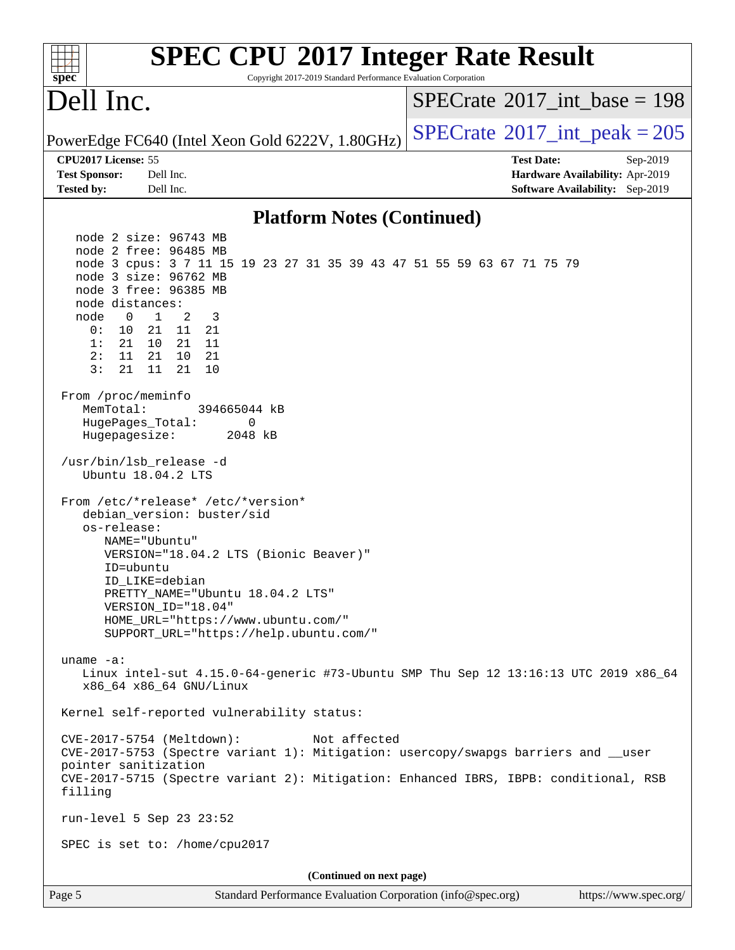| <b>SPEC CPU®2017 Integer Rate Result</b><br>Copyright 2017-2019 Standard Performance Evaluation Corporation<br>spec <sup>®</sup>                                                                                                                                                                                                                                 |                                             |
|------------------------------------------------------------------------------------------------------------------------------------------------------------------------------------------------------------------------------------------------------------------------------------------------------------------------------------------------------------------|---------------------------------------------|
| Dell Inc.                                                                                                                                                                                                                                                                                                                                                        | $SPECrate^{\circledast}2017$ int base = 198 |
| PowerEdge FC640 (Intel Xeon Gold 6222V, 1.80GHz)                                                                                                                                                                                                                                                                                                                 | $SPECTate$ <sup>®</sup> 2017_int_peak = 205 |
| CPU2017 License: 55                                                                                                                                                                                                                                                                                                                                              | <b>Test Date:</b><br>Sep-2019               |
| Dell Inc.<br><b>Test Sponsor:</b>                                                                                                                                                                                                                                                                                                                                | Hardware Availability: Apr-2019             |
| Dell Inc.<br><b>Tested by:</b>                                                                                                                                                                                                                                                                                                                                   | <b>Software Availability:</b> Sep-2019      |
| <b>Platform Notes (Continued)</b>                                                                                                                                                                                                                                                                                                                                |                                             |
| node 2 size: 96743 MB<br>node 2 free: 96485 MB<br>node 3 cpus: 3 7 11 15 19 23 27 31 35 39 43 47 51 55 59 63 67 71 75 79<br>node 3 size: 96762 MB<br>node 3 free: 96385 MB<br>node distances:<br>$\overline{0}$<br>$\mathbf{1}$<br>2<br>3<br>node<br>0:<br>10<br>21 11 21<br>1:<br>21<br>21<br>11<br>10<br>2:<br>21<br>11<br>21 10<br>3:<br>11<br>21<br>10<br>21 |                                             |
| From /proc/meminfo<br>MemTotal:<br>394665044 kB<br>HugePages_Total:<br>0<br>Hugepagesize:<br>2048 kB<br>/usr/bin/lsb_release -d                                                                                                                                                                                                                                  |                                             |
| Ubuntu 18.04.2 LTS<br>From /etc/*release* /etc/*version*<br>debian_version: buster/sid<br>os-release:<br>NAME="Ubuntu"<br>VERSION="18.04.2 LTS (Bionic Beaver)"<br>ID=ubuntu<br>ID LIKE=debian<br>PRETTY_NAME="Ubuntu 18.04.2 LTS"<br>VERSION_ID="18.04"<br>HOME_URL="https://www.ubuntu.com/"<br>SUPPORT_URL="https://help.ubuntu.com/"                         |                                             |
| uname $-a$ :<br>Linux intel-sut 4.15.0-64-generic #73-Ubuntu SMP Thu Sep 12 13:16:13 UTC 2019 x86_64<br>x86_64 x86_64 GNU/Linux                                                                                                                                                                                                                                  |                                             |
| Kernel self-reported vulnerability status:                                                                                                                                                                                                                                                                                                                       |                                             |
| CVE-2017-5754 (Meltdown):<br>Not affected<br>CVE-2017-5753 (Spectre variant 1): Mitigation: usercopy/swapgs barriers and __user<br>pointer sanitization<br>CVE-2017-5715 (Spectre variant 2): Mitigation: Enhanced IBRS, IBPB: conditional, RSB<br>filling                                                                                                       |                                             |
| run-level 5 Sep 23 23:52                                                                                                                                                                                                                                                                                                                                         |                                             |
| SPEC is set to: /home/cpu2017                                                                                                                                                                                                                                                                                                                                    |                                             |
| (Continued on next page)                                                                                                                                                                                                                                                                                                                                         |                                             |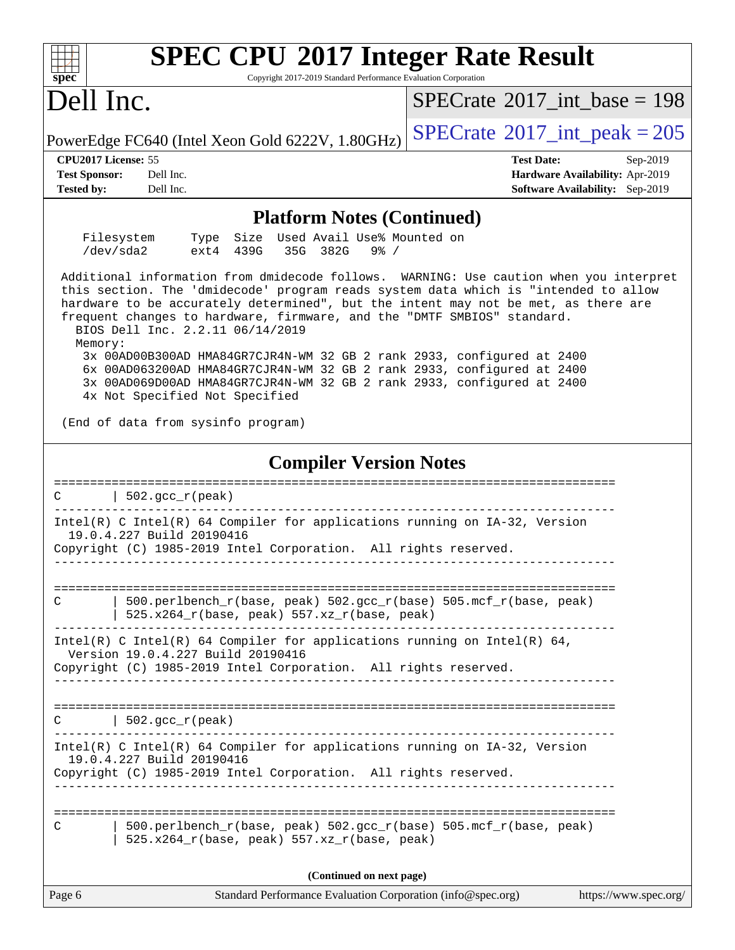| <b>SPEC CPU®2017 Integer Rate Result</b><br>Copyright 2017-2019 Standard Performance Evaluation Corporation<br>$spec^*$                                                                                                                                                                                                                                                                                                                                                                                                                                                                                                                                                                             |                                                                                                            |
|-----------------------------------------------------------------------------------------------------------------------------------------------------------------------------------------------------------------------------------------------------------------------------------------------------------------------------------------------------------------------------------------------------------------------------------------------------------------------------------------------------------------------------------------------------------------------------------------------------------------------------------------------------------------------------------------------------|------------------------------------------------------------------------------------------------------------|
| Dell Inc.                                                                                                                                                                                                                                                                                                                                                                                                                                                                                                                                                                                                                                                                                           | $SPECrate^{\circ}2017\_int\_base = 198$                                                                    |
| PowerEdge FC640 (Intel Xeon Gold 6222V, 1.80GHz)                                                                                                                                                                                                                                                                                                                                                                                                                                                                                                                                                                                                                                                    | $SPECTate$ <sup>®</sup> 2017_int_peak = 205                                                                |
| CPU2017 License: 55<br><b>Test Sponsor:</b><br>Dell Inc.<br><b>Tested by:</b><br>Dell Inc.                                                                                                                                                                                                                                                                                                                                                                                                                                                                                                                                                                                                          | <b>Test Date:</b><br>Sep-2019<br>Hardware Availability: Apr-2019<br><b>Software Availability:</b> Sep-2019 |
| <b>Platform Notes (Continued)</b>                                                                                                                                                                                                                                                                                                                                                                                                                                                                                                                                                                                                                                                                   |                                                                                                            |
| Filesystem<br>Used Avail Use% Mounted on<br>Size<br>Type<br>/dev/sda2<br>ext4 439G<br>35G 382G<br>$9\frac{8}{10}$ /                                                                                                                                                                                                                                                                                                                                                                                                                                                                                                                                                                                 |                                                                                                            |
| Additional information from dmidecode follows. WARNING: Use caution when you interpret<br>this section. The 'dmidecode' program reads system data which is "intended to allow<br>hardware to be accurately determined", but the intent may not be met, as there are<br>frequent changes to hardware, firmware, and the "DMTF SMBIOS" standard.<br>BIOS Dell Inc. 2.2.11 06/14/2019<br>Memory:<br>3x 00AD00B300AD HMA84GR7CJR4N-WM 32 GB 2 rank 2933, configured at 2400<br>6x 00AD063200AD HMA84GR7CJR4N-WM 32 GB 2 rank 2933, configured at 2400<br>3x 00AD069D00AD HMA84GR7CJR4N-WM 32 GB 2 rank 2933, configured at 2400<br>4x Not Specified Not Specified<br>(End of data from sysinfo program) |                                                                                                            |
|                                                                                                                                                                                                                                                                                                                                                                                                                                                                                                                                                                                                                                                                                                     |                                                                                                            |
| <b>Compiler Version Notes</b>                                                                                                                                                                                                                                                                                                                                                                                                                                                                                                                                                                                                                                                                       |                                                                                                            |
| $502.$ gcc_r(peak)<br>C                                                                                                                                                                                                                                                                                                                                                                                                                                                                                                                                                                                                                                                                             |                                                                                                            |
| Intel(R) C Intel(R) 64 Compiler for applications running on IA-32, Version<br>19.0.4.227 Build 20190416<br>Copyright (C) 1985-2019 Intel Corporation. All rights reserved.                                                                                                                                                                                                                                                                                                                                                                                                                                                                                                                          |                                                                                                            |
| 500.perlbench_r(base, peak) 502.gcc_r(base) 505.mcf_r(base, peak)<br>C<br>525.x264_r(base, peak) 557.xz_r(base, peak)                                                                                                                                                                                                                                                                                                                                                                                                                                                                                                                                                                               |                                                                                                            |
| Intel(R) C Intel(R) 64 Compiler for applications running on Intel(R) 64,<br>Version 19.0.4.227 Build 20190416<br>Copyright (C) 1985-2019 Intel Corporation. All rights reserved.                                                                                                                                                                                                                                                                                                                                                                                                                                                                                                                    |                                                                                                            |
| $502.\text{gcc}_r(\text{peak})$<br>C                                                                                                                                                                                                                                                                                                                                                                                                                                                                                                                                                                                                                                                                |                                                                                                            |
| Intel(R) C Intel(R) 64 Compiler for applications running on IA-32, Version<br>19.0.4.227 Build 20190416<br>Copyright (C) 1985-2019 Intel Corporation. All rights reserved.                                                                                                                                                                                                                                                                                                                                                                                                                                                                                                                          |                                                                                                            |
|                                                                                                                                                                                                                                                                                                                                                                                                                                                                                                                                                                                                                                                                                                     |                                                                                                            |
| 500.perlbench_r(base, peak) 502.gcc_r(base) 505.mcf_r(base, peak)<br>C<br>525.x264_r(base, peak) 557.xz_r(base, peak)                                                                                                                                                                                                                                                                                                                                                                                                                                                                                                                                                                               |                                                                                                            |
| (Continued on next page)                                                                                                                                                                                                                                                                                                                                                                                                                                                                                                                                                                                                                                                                            |                                                                                                            |
| Page 6<br>Standard Performance Evaluation Corporation (info@spec.org)                                                                                                                                                                                                                                                                                                                                                                                                                                                                                                                                                                                                                               | https://www.spec.org/                                                                                      |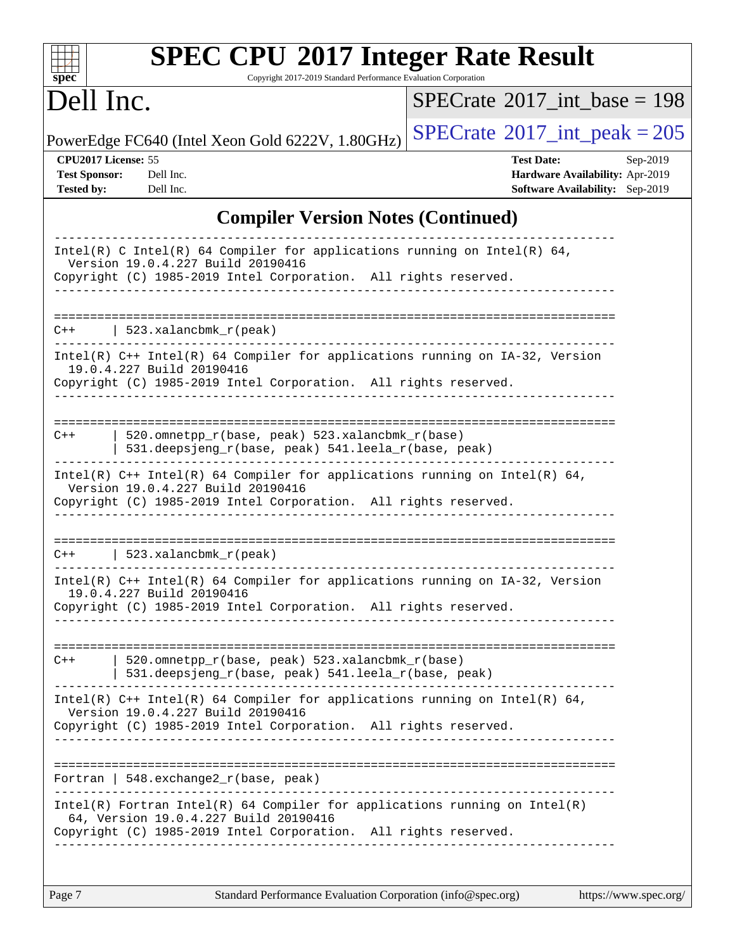| <b>SPEC CPU®2017 Integer Rate Result</b><br>Copyright 2017-2019 Standard Performance Evaluation Corporation<br>$spec^*$                                                                                                      |                                                                                                            |
|------------------------------------------------------------------------------------------------------------------------------------------------------------------------------------------------------------------------------|------------------------------------------------------------------------------------------------------------|
| Dell Inc.                                                                                                                                                                                                                    | $SPECrate^{\circledast}2017$ int base = 198                                                                |
| PowerEdge FC640 (Intel Xeon Gold 6222V, 1.80GHz)                                                                                                                                                                             | $SPECrate$ <sup>®</sup> $2017$ _int_peak = 205                                                             |
| CPU2017 License: 55<br><b>Test Sponsor:</b><br>Dell Inc.<br><b>Tested by:</b><br>Dell Inc.                                                                                                                                   | <b>Test Date:</b><br>Sep-2019<br>Hardware Availability: Apr-2019<br><b>Software Availability:</b> Sep-2019 |
| <b>Compiler Version Notes (Continued)</b>                                                                                                                                                                                    |                                                                                                            |
| Intel(R) C Intel(R) 64 Compiler for applications running on Intel(R) 64,<br>Version 19.0.4.227 Build 20190416<br>Copyright (C) 1985-2019 Intel Corporation. All rights reserved.                                             |                                                                                                            |
| $\vert$ 523.xalancbmk_r(peak)<br>$C++$                                                                                                                                                                                       |                                                                                                            |
| Intel(R) C++ Intel(R) 64 Compiler for applications running on IA-32, Version<br>19.0.4.227 Build 20190416<br>Copyright (C) 1985-2019 Intel Corporation. All rights reserved.                                                 |                                                                                                            |
| 520.omnetpp_r(base, peak) 523.xalancbmk_r(base)<br>$C++$<br>531.deepsjeng_r(base, peak) 541.leela_r(base, peak)                                                                                                              |                                                                                                            |
| Intel(R) $C++$ Intel(R) 64 Compiler for applications running on Intel(R) 64,<br>Version 19.0.4.227 Build 20190416<br>Copyright (C) 1985-2019 Intel Corporation. All rights reserved.                                         |                                                                                                            |
| $523.$ xalancbmk $r$ (peak)<br>$C++$                                                                                                                                                                                         |                                                                                                            |
| Intel(R) C++ Intel(R) 64 Compiler for applications running on IA-32, Version<br>19.0.4.227 Build 20190416<br>Copyright (C) 1985-2019 Intel Corporation. All rights reserved.                                                 |                                                                                                            |
| 520.omnetpp_r(base, peak) 523.xalancbmk_r(base)<br>$C++$<br>531.deepsjeng_r(base, peak) 541.leela_r(base, peak)                                                                                                              |                                                                                                            |
| Intel(R) $C++$ Intel(R) 64 Compiler for applications running on Intel(R) 64,<br>Version 19.0.4.227 Build 20190416<br>Copyright (C) 1985-2019 Intel Corporation. All rights reserved.<br>------------------------------------ |                                                                                                            |
| Fortran   548.exchange2_r(base, peak)                                                                                                                                                                                        |                                                                                                            |
| $Intel(R)$ Fortran Intel(R) 64 Compiler for applications running on Intel(R)<br>64, Version 19.0.4.227 Build 20190416<br>Copyright (C) 1985-2019 Intel Corporation. All rights reserved.                                     |                                                                                                            |
|                                                                                                                                                                                                                              |                                                                                                            |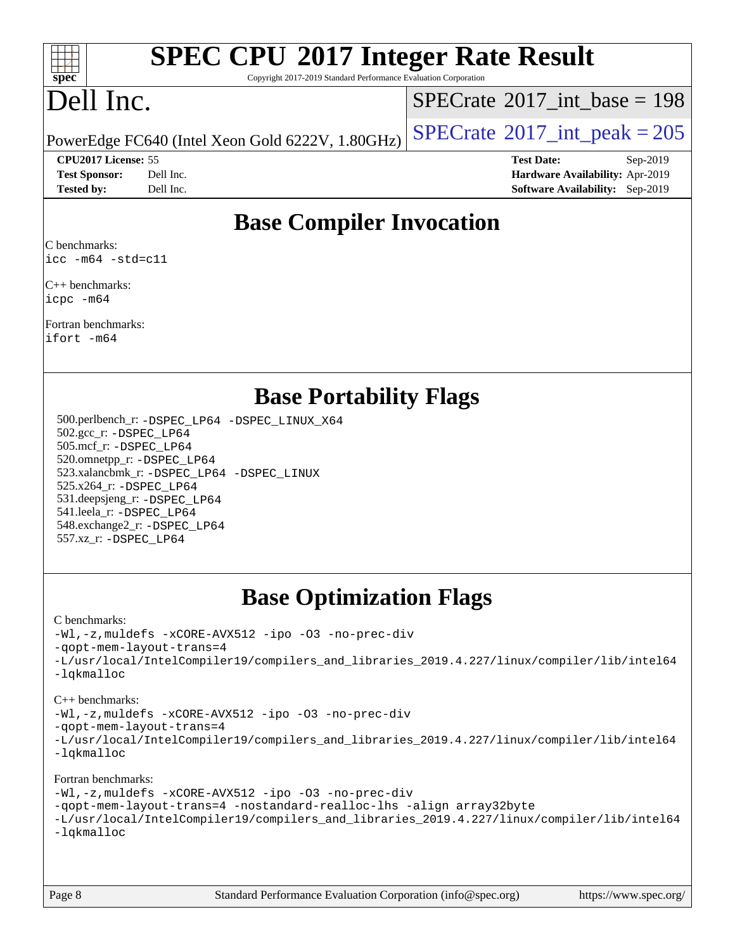

# **[SPEC CPU](http://www.spec.org/auto/cpu2017/Docs/result-fields.html#SPECCPU2017IntegerRateResult)[2017 Integer Rate Result](http://www.spec.org/auto/cpu2017/Docs/result-fields.html#SPECCPU2017IntegerRateResult)**

Copyright 2017-2019 Standard Performance Evaluation Corporation

# Dell Inc.

 $SPECTate@2017_int\_base = 198$ 

#### **[CPU2017 License:](http://www.spec.org/auto/cpu2017/Docs/result-fields.html#CPU2017License)** 55 **[Test Date:](http://www.spec.org/auto/cpu2017/Docs/result-fields.html#TestDate)** Sep-2019

PowerEdge FC640 (Intel Xeon Gold 6222V, 1.80GHz)  $\left|$  [SPECrate](http://www.spec.org/auto/cpu2017/Docs/result-fields.html#SPECrate2017intpeak)<sup>®</sup>[2017\\_int\\_peak = 2](http://www.spec.org/auto/cpu2017/Docs/result-fields.html#SPECrate2017intpeak)05

**[Test Sponsor:](http://www.spec.org/auto/cpu2017/Docs/result-fields.html#TestSponsor)** Dell Inc. **[Hardware Availability:](http://www.spec.org/auto/cpu2017/Docs/result-fields.html#HardwareAvailability)** Apr-2019 **[Tested by:](http://www.spec.org/auto/cpu2017/Docs/result-fields.html#Testedby)** Dell Inc. **[Software Availability:](http://www.spec.org/auto/cpu2017/Docs/result-fields.html#SoftwareAvailability)** Sep-2019

## **[Base Compiler Invocation](http://www.spec.org/auto/cpu2017/Docs/result-fields.html#BaseCompilerInvocation)**

[C benchmarks](http://www.spec.org/auto/cpu2017/Docs/result-fields.html#Cbenchmarks): [icc -m64 -std=c11](http://www.spec.org/cpu2017/results/res2019q4/cpu2017-20191125-20080.flags.html#user_CCbase_intel_icc_64bit_c11_33ee0cdaae7deeeab2a9725423ba97205ce30f63b9926c2519791662299b76a0318f32ddfffdc46587804de3178b4f9328c46fa7c2b0cd779d7a61945c91cd35)

[C++ benchmarks](http://www.spec.org/auto/cpu2017/Docs/result-fields.html#CXXbenchmarks): [icpc -m64](http://www.spec.org/cpu2017/results/res2019q4/cpu2017-20191125-20080.flags.html#user_CXXbase_intel_icpc_64bit_4ecb2543ae3f1412ef961e0650ca070fec7b7afdcd6ed48761b84423119d1bf6bdf5cad15b44d48e7256388bc77273b966e5eb805aefd121eb22e9299b2ec9d9)

[Fortran benchmarks:](http://www.spec.org/auto/cpu2017/Docs/result-fields.html#Fortranbenchmarks) [ifort -m64](http://www.spec.org/cpu2017/results/res2019q4/cpu2017-20191125-20080.flags.html#user_FCbase_intel_ifort_64bit_24f2bb282fbaeffd6157abe4f878425411749daecae9a33200eee2bee2fe76f3b89351d69a8130dd5949958ce389cf37ff59a95e7a40d588e8d3a57e0c3fd751)

## **[Base Portability Flags](http://www.spec.org/auto/cpu2017/Docs/result-fields.html#BasePortabilityFlags)**

 500.perlbench\_r: [-DSPEC\\_LP64](http://www.spec.org/cpu2017/results/res2019q4/cpu2017-20191125-20080.flags.html#b500.perlbench_r_basePORTABILITY_DSPEC_LP64) [-DSPEC\\_LINUX\\_X64](http://www.spec.org/cpu2017/results/res2019q4/cpu2017-20191125-20080.flags.html#b500.perlbench_r_baseCPORTABILITY_DSPEC_LINUX_X64) 502.gcc\_r: [-DSPEC\\_LP64](http://www.spec.org/cpu2017/results/res2019q4/cpu2017-20191125-20080.flags.html#suite_basePORTABILITY502_gcc_r_DSPEC_LP64) 505.mcf\_r: [-DSPEC\\_LP64](http://www.spec.org/cpu2017/results/res2019q4/cpu2017-20191125-20080.flags.html#suite_basePORTABILITY505_mcf_r_DSPEC_LP64) 520.omnetpp\_r: [-DSPEC\\_LP64](http://www.spec.org/cpu2017/results/res2019q4/cpu2017-20191125-20080.flags.html#suite_basePORTABILITY520_omnetpp_r_DSPEC_LP64) 523.xalancbmk\_r: [-DSPEC\\_LP64](http://www.spec.org/cpu2017/results/res2019q4/cpu2017-20191125-20080.flags.html#suite_basePORTABILITY523_xalancbmk_r_DSPEC_LP64) [-DSPEC\\_LINUX](http://www.spec.org/cpu2017/results/res2019q4/cpu2017-20191125-20080.flags.html#b523.xalancbmk_r_baseCXXPORTABILITY_DSPEC_LINUX) 525.x264\_r: [-DSPEC\\_LP64](http://www.spec.org/cpu2017/results/res2019q4/cpu2017-20191125-20080.flags.html#suite_basePORTABILITY525_x264_r_DSPEC_LP64) 531.deepsjeng\_r: [-DSPEC\\_LP64](http://www.spec.org/cpu2017/results/res2019q4/cpu2017-20191125-20080.flags.html#suite_basePORTABILITY531_deepsjeng_r_DSPEC_LP64) 541.leela\_r: [-DSPEC\\_LP64](http://www.spec.org/cpu2017/results/res2019q4/cpu2017-20191125-20080.flags.html#suite_basePORTABILITY541_leela_r_DSPEC_LP64) 548.exchange2\_r: [-DSPEC\\_LP64](http://www.spec.org/cpu2017/results/res2019q4/cpu2017-20191125-20080.flags.html#suite_basePORTABILITY548_exchange2_r_DSPEC_LP64) 557.xz\_r: [-DSPEC\\_LP64](http://www.spec.org/cpu2017/results/res2019q4/cpu2017-20191125-20080.flags.html#suite_basePORTABILITY557_xz_r_DSPEC_LP64)

## **[Base Optimization Flags](http://www.spec.org/auto/cpu2017/Docs/result-fields.html#BaseOptimizationFlags)**

#### [C benchmarks](http://www.spec.org/auto/cpu2017/Docs/result-fields.html#Cbenchmarks):

[-Wl,-z,muldefs](http://www.spec.org/cpu2017/results/res2019q4/cpu2017-20191125-20080.flags.html#user_CCbase_link_force_multiple1_b4cbdb97b34bdee9ceefcfe54f4c8ea74255f0b02a4b23e853cdb0e18eb4525ac79b5a88067c842dd0ee6996c24547a27a4b99331201badda8798ef8a743f577) [-xCORE-AVX512](http://www.spec.org/cpu2017/results/res2019q4/cpu2017-20191125-20080.flags.html#user_CCbase_f-xCORE-AVX512) [-ipo](http://www.spec.org/cpu2017/results/res2019q4/cpu2017-20191125-20080.flags.html#user_CCbase_f-ipo) [-O3](http://www.spec.org/cpu2017/results/res2019q4/cpu2017-20191125-20080.flags.html#user_CCbase_f-O3) [-no-prec-div](http://www.spec.org/cpu2017/results/res2019q4/cpu2017-20191125-20080.flags.html#user_CCbase_f-no-prec-div) [-qopt-mem-layout-trans=4](http://www.spec.org/cpu2017/results/res2019q4/cpu2017-20191125-20080.flags.html#user_CCbase_f-qopt-mem-layout-trans_fa39e755916c150a61361b7846f310bcdf6f04e385ef281cadf3647acec3f0ae266d1a1d22d972a7087a248fd4e6ca390a3634700869573d231a252c784941a8) [-L/usr/local/IntelCompiler19/compilers\\_and\\_libraries\\_2019.4.227/linux/compiler/lib/intel64](http://www.spec.org/cpu2017/results/res2019q4/cpu2017-20191125-20080.flags.html#user_CCbase_qkmalloc_link_0ffe0cb02c68ef1b443a077c7888c10c67ca0d1dd7138472156f06a085bbad385f78d49618ad55dca9db3b1608e84afc2f69b4003b1d1ca498a9fc1462ccefda) [-lqkmalloc](http://www.spec.org/cpu2017/results/res2019q4/cpu2017-20191125-20080.flags.html#user_CCbase_qkmalloc_link_lib_79a818439969f771c6bc311cfd333c00fc099dad35c030f5aab9dda831713d2015205805422f83de8875488a2991c0a156aaa600e1f9138f8fc37004abc96dc5)

#### [C++ benchmarks](http://www.spec.org/auto/cpu2017/Docs/result-fields.html#CXXbenchmarks):

[-Wl,-z,muldefs](http://www.spec.org/cpu2017/results/res2019q4/cpu2017-20191125-20080.flags.html#user_CXXbase_link_force_multiple1_b4cbdb97b34bdee9ceefcfe54f4c8ea74255f0b02a4b23e853cdb0e18eb4525ac79b5a88067c842dd0ee6996c24547a27a4b99331201badda8798ef8a743f577) [-xCORE-AVX512](http://www.spec.org/cpu2017/results/res2019q4/cpu2017-20191125-20080.flags.html#user_CXXbase_f-xCORE-AVX512) [-ipo](http://www.spec.org/cpu2017/results/res2019q4/cpu2017-20191125-20080.flags.html#user_CXXbase_f-ipo) [-O3](http://www.spec.org/cpu2017/results/res2019q4/cpu2017-20191125-20080.flags.html#user_CXXbase_f-O3) [-no-prec-div](http://www.spec.org/cpu2017/results/res2019q4/cpu2017-20191125-20080.flags.html#user_CXXbase_f-no-prec-div)

[-qopt-mem-layout-trans=4](http://www.spec.org/cpu2017/results/res2019q4/cpu2017-20191125-20080.flags.html#user_CXXbase_f-qopt-mem-layout-trans_fa39e755916c150a61361b7846f310bcdf6f04e385ef281cadf3647acec3f0ae266d1a1d22d972a7087a248fd4e6ca390a3634700869573d231a252c784941a8)

[-L/usr/local/IntelCompiler19/compilers\\_and\\_libraries\\_2019.4.227/linux/compiler/lib/intel64](http://www.spec.org/cpu2017/results/res2019q4/cpu2017-20191125-20080.flags.html#user_CXXbase_qkmalloc_link_0ffe0cb02c68ef1b443a077c7888c10c67ca0d1dd7138472156f06a085bbad385f78d49618ad55dca9db3b1608e84afc2f69b4003b1d1ca498a9fc1462ccefda) [-lqkmalloc](http://www.spec.org/cpu2017/results/res2019q4/cpu2017-20191125-20080.flags.html#user_CXXbase_qkmalloc_link_lib_79a818439969f771c6bc311cfd333c00fc099dad35c030f5aab9dda831713d2015205805422f83de8875488a2991c0a156aaa600e1f9138f8fc37004abc96dc5)

#### [Fortran benchmarks](http://www.spec.org/auto/cpu2017/Docs/result-fields.html#Fortranbenchmarks):

[-Wl,-z,muldefs](http://www.spec.org/cpu2017/results/res2019q4/cpu2017-20191125-20080.flags.html#user_FCbase_link_force_multiple1_b4cbdb97b34bdee9ceefcfe54f4c8ea74255f0b02a4b23e853cdb0e18eb4525ac79b5a88067c842dd0ee6996c24547a27a4b99331201badda8798ef8a743f577) [-xCORE-AVX512](http://www.spec.org/cpu2017/results/res2019q4/cpu2017-20191125-20080.flags.html#user_FCbase_f-xCORE-AVX512) [-ipo](http://www.spec.org/cpu2017/results/res2019q4/cpu2017-20191125-20080.flags.html#user_FCbase_f-ipo) [-O3](http://www.spec.org/cpu2017/results/res2019q4/cpu2017-20191125-20080.flags.html#user_FCbase_f-O3) [-no-prec-div](http://www.spec.org/cpu2017/results/res2019q4/cpu2017-20191125-20080.flags.html#user_FCbase_f-no-prec-div) [-qopt-mem-layout-trans=4](http://www.spec.org/cpu2017/results/res2019q4/cpu2017-20191125-20080.flags.html#user_FCbase_f-qopt-mem-layout-trans_fa39e755916c150a61361b7846f310bcdf6f04e385ef281cadf3647acec3f0ae266d1a1d22d972a7087a248fd4e6ca390a3634700869573d231a252c784941a8) [-nostandard-realloc-lhs](http://www.spec.org/cpu2017/results/res2019q4/cpu2017-20191125-20080.flags.html#user_FCbase_f_2003_std_realloc_82b4557e90729c0f113870c07e44d33d6f5a304b4f63d4c15d2d0f1fab99f5daaed73bdb9275d9ae411527f28b936061aa8b9c8f2d63842963b95c9dd6426b8a) [-align array32byte](http://www.spec.org/cpu2017/results/res2019q4/cpu2017-20191125-20080.flags.html#user_FCbase_align_array32byte_b982fe038af199962ba9a80c053b8342c548c85b40b8e86eb3cc33dee0d7986a4af373ac2d51c3f7cf710a18d62fdce2948f201cd044323541f22fc0fffc51b6) [-L/usr/local/IntelCompiler19/compilers\\_and\\_libraries\\_2019.4.227/linux/compiler/lib/intel64](http://www.spec.org/cpu2017/results/res2019q4/cpu2017-20191125-20080.flags.html#user_FCbase_qkmalloc_link_0ffe0cb02c68ef1b443a077c7888c10c67ca0d1dd7138472156f06a085bbad385f78d49618ad55dca9db3b1608e84afc2f69b4003b1d1ca498a9fc1462ccefda) [-lqkmalloc](http://www.spec.org/cpu2017/results/res2019q4/cpu2017-20191125-20080.flags.html#user_FCbase_qkmalloc_link_lib_79a818439969f771c6bc311cfd333c00fc099dad35c030f5aab9dda831713d2015205805422f83de8875488a2991c0a156aaa600e1f9138f8fc37004abc96dc5)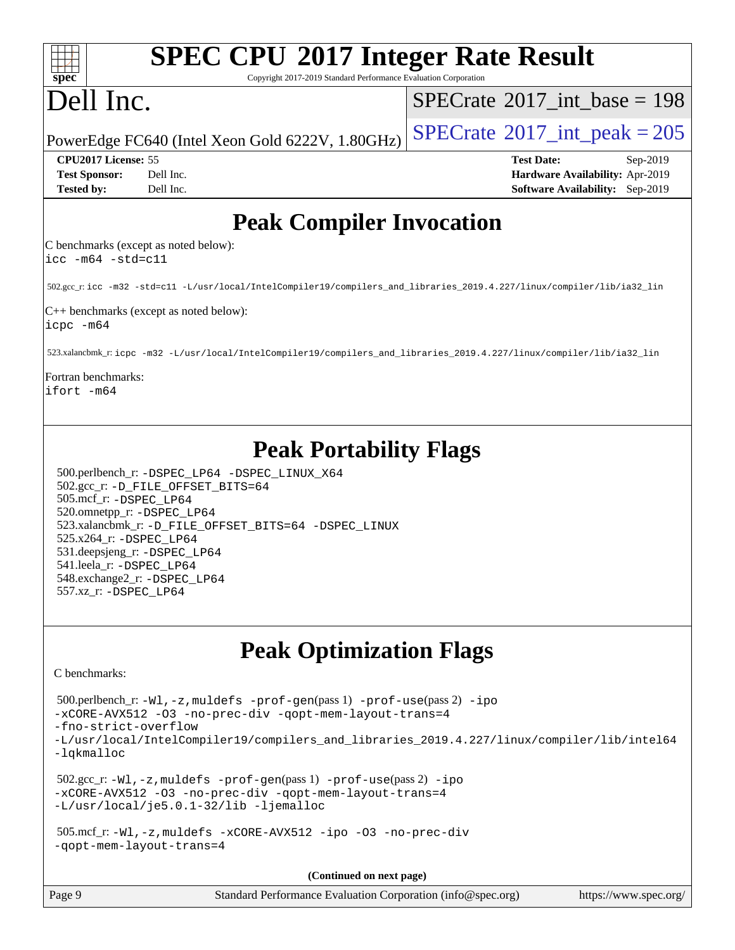| <b>SPEC CPU®2017 Integer Rate Result</b><br>spec <sup>®</sup><br>Copyright 2017-2019 Standard Performance Evaluation Corporation                                                                                                                                                                                                                                                    |                                             |
|-------------------------------------------------------------------------------------------------------------------------------------------------------------------------------------------------------------------------------------------------------------------------------------------------------------------------------------------------------------------------------------|---------------------------------------------|
| Dell Inc.                                                                                                                                                                                                                                                                                                                                                                           | $SPECrate^{\circledast}2017$ int base = 198 |
| PowerEdge FC640 (Intel Xeon Gold 6222V, 1.80GHz)                                                                                                                                                                                                                                                                                                                                    | $SPECTate$ <sup>®</sup> 2017_int_peak = 205 |
| CPU2017 License: 55                                                                                                                                                                                                                                                                                                                                                                 | <b>Test Date:</b><br>Sep-2019               |
| Dell Inc.<br><b>Test Sponsor:</b>                                                                                                                                                                                                                                                                                                                                                   | Hardware Availability: Apr-2019             |
| Tested by:<br>Dell Inc.                                                                                                                                                                                                                                                                                                                                                             | <b>Software Availability:</b> Sep-2019      |
| <b>Peak Compiler Invocation</b>                                                                                                                                                                                                                                                                                                                                                     |                                             |
| C benchmarks (except as noted below):<br>$\text{icc -m64 -std=c11}$                                                                                                                                                                                                                                                                                                                 |                                             |
| 502.gcc_r:icc -m32 -std=c11 -L/usr/local/IntelCompiler19/compilers_and_libraries_2019.4.227/linux/compiler/lib/ia32_lin                                                                                                                                                                                                                                                             |                                             |
| $C++$ benchmarks (except as noted below):<br>$icpc - m64$                                                                                                                                                                                                                                                                                                                           |                                             |
| 523.xalancbmk_r: icpc -m32 -L/usr/local/IntelCompiler19/compilers_and_libraries_2019.4.227/linux/compiler/lib/ia32_lin                                                                                                                                                                                                                                                              |                                             |
| Fortran benchmarks:<br>ifort -m64                                                                                                                                                                                                                                                                                                                                                   |                                             |
| <b>Peak Portability Flags</b><br>500.perlbench_r: -DSPEC_LP64 -DSPEC_LINUX_X64<br>502.gcc_r: -D_FILE_OFFSET_BITS=64<br>505.mcf_r: -DSPEC_LP64<br>520.omnetpp_r: -DSPEC_LP64<br>523.xalancbmk_r: -D_FILE_OFFSET_BITS=64 -DSPEC_LINUX<br>525.x264_r: -DSPEC_LP64<br>531.deepsjeng_r: -DSPEC_LP64<br>541.leela_r: -DSPEC_LP64<br>548.exchange2_r: -DSPEC_LP64<br>557.xz_r: -DSPEC_LP64 |                                             |
| <b>Peak Optimization Flags</b><br>C benchmarks:                                                                                                                                                                                                                                                                                                                                     |                                             |
| 500.perlbench_r: -Wl, -z, muldefs -prof-gen(pass 1) -prof-use(pass 2) -ipo<br>-xCORE-AVX512 -03 -no-prec-div -qopt-mem-layout-trans=4<br>-fno-strict-overflow<br>-L/usr/local/IntelCompiler19/compilers_and_libraries_2019.4.227/linux/compiler/lib/intel64<br>-lqkmalloc                                                                                                           |                                             |
| $502.\text{sec\_r: } -W1$ , $-z$ , muldefs $-prof-gen(pass1)$ $-prof-use(pass2)$ $-ipo$<br>-xCORE-AVX512 -03 -no-prec-div -qopt-mem-layout-trans=4<br>-L/usr/local/je5.0.1-32/lib -ljemalloc                                                                                                                                                                                        |                                             |
| 505.mcf_r: -Wl, -z, muldefs -xCORE-AVX512 -ipo -03 -no-prec-div<br>-gopt-mem-layout-trans=4                                                                                                                                                                                                                                                                                         |                                             |
| (Continued on next page)                                                                                                                                                                                                                                                                                                                                                            |                                             |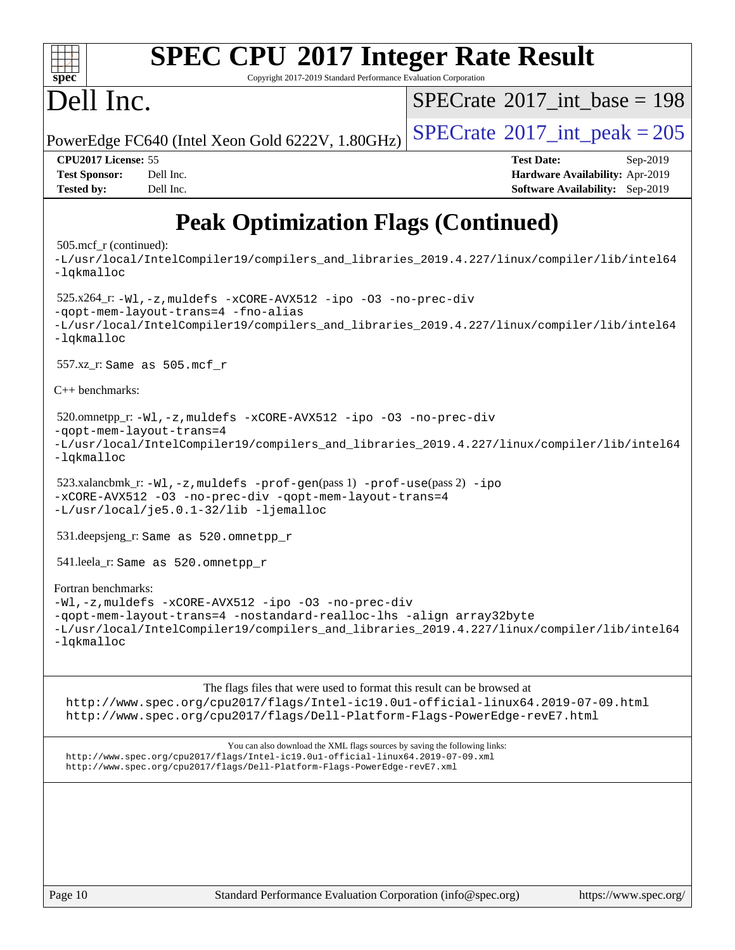#### **[SPEC CPU](http://www.spec.org/auto/cpu2017/Docs/result-fields.html#SPECCPU2017IntegerRateResult)[2017 Integer Rate Result](http://www.spec.org/auto/cpu2017/Docs/result-fields.html#SPECCPU2017IntegerRateResult)**  $\pm\pm\prime$ **[spec](http://www.spec.org/)** Copyright 2017-2019 Standard Performance Evaluation Corporation Dell Inc.  $SPECTate@2017_int\_base = 198$ PowerEdge FC640 (Intel Xeon Gold 6222V,  $1.80$ GHz) [SPECrate](http://www.spec.org/auto/cpu2017/Docs/result-fields.html#SPECrate2017intpeak)<sup>®</sup>[2017\\_int\\_peak = 2](http://www.spec.org/auto/cpu2017/Docs/result-fields.html#SPECrate2017intpeak)05 **[CPU2017 License:](http://www.spec.org/auto/cpu2017/Docs/result-fields.html#CPU2017License)** 55 **[Test Date:](http://www.spec.org/auto/cpu2017/Docs/result-fields.html#TestDate)** Sep-2019 **[Test Sponsor:](http://www.spec.org/auto/cpu2017/Docs/result-fields.html#TestSponsor)** Dell Inc. **[Hardware Availability:](http://www.spec.org/auto/cpu2017/Docs/result-fields.html#HardwareAvailability)** Apr-2019 **[Tested by:](http://www.spec.org/auto/cpu2017/Docs/result-fields.html#Testedby)** Dell Inc. **[Software Availability:](http://www.spec.org/auto/cpu2017/Docs/result-fields.html#SoftwareAvailability)** Sep-2019

## **[Peak Optimization Flags \(Continued\)](http://www.spec.org/auto/cpu2017/Docs/result-fields.html#PeakOptimizationFlags)**

#### 505.mcf\_r (continued):

[-L/usr/local/IntelCompiler19/compilers\\_and\\_libraries\\_2019.4.227/linux/compiler/lib/intel64](http://www.spec.org/cpu2017/results/res2019q4/cpu2017-20191125-20080.flags.html#user_peakEXTRA_LIBS505_mcf_r_qkmalloc_link_0ffe0cb02c68ef1b443a077c7888c10c67ca0d1dd7138472156f06a085bbad385f78d49618ad55dca9db3b1608e84afc2f69b4003b1d1ca498a9fc1462ccefda) [-lqkmalloc](http://www.spec.org/cpu2017/results/res2019q4/cpu2017-20191125-20080.flags.html#user_peakEXTRA_LIBS505_mcf_r_qkmalloc_link_lib_79a818439969f771c6bc311cfd333c00fc099dad35c030f5aab9dda831713d2015205805422f83de8875488a2991c0a156aaa600e1f9138f8fc37004abc96dc5) 525.x264\_r: [-Wl,-z,muldefs](http://www.spec.org/cpu2017/results/res2019q4/cpu2017-20191125-20080.flags.html#user_peakEXTRA_LDFLAGS525_x264_r_link_force_multiple1_b4cbdb97b34bdee9ceefcfe54f4c8ea74255f0b02a4b23e853cdb0e18eb4525ac79b5a88067c842dd0ee6996c24547a27a4b99331201badda8798ef8a743f577) [-xCORE-AVX512](http://www.spec.org/cpu2017/results/res2019q4/cpu2017-20191125-20080.flags.html#user_peakCOPTIMIZE525_x264_r_f-xCORE-AVX512) [-ipo](http://www.spec.org/cpu2017/results/res2019q4/cpu2017-20191125-20080.flags.html#user_peakCOPTIMIZE525_x264_r_f-ipo) [-O3](http://www.spec.org/cpu2017/results/res2019q4/cpu2017-20191125-20080.flags.html#user_peakCOPTIMIZE525_x264_r_f-O3) [-no-prec-div](http://www.spec.org/cpu2017/results/res2019q4/cpu2017-20191125-20080.flags.html#user_peakCOPTIMIZE525_x264_r_f-no-prec-div) [-qopt-mem-layout-trans=4](http://www.spec.org/cpu2017/results/res2019q4/cpu2017-20191125-20080.flags.html#user_peakCOPTIMIZE525_x264_r_f-qopt-mem-layout-trans_fa39e755916c150a61361b7846f310bcdf6f04e385ef281cadf3647acec3f0ae266d1a1d22d972a7087a248fd4e6ca390a3634700869573d231a252c784941a8) [-fno-alias](http://www.spec.org/cpu2017/results/res2019q4/cpu2017-20191125-20080.flags.html#user_peakEXTRA_OPTIMIZE525_x264_r_f-no-alias_77dbac10d91cbfe898fbf4a29d1b29b694089caa623bdd1baccc9957d4edbe8d106c0b357e2748a65b44fc9e83d78098bb898077f3fe92f9faf24f7bd4a07ed7) [-L/usr/local/IntelCompiler19/compilers\\_and\\_libraries\\_2019.4.227/linux/compiler/lib/intel64](http://www.spec.org/cpu2017/results/res2019q4/cpu2017-20191125-20080.flags.html#user_peakEXTRA_LIBS525_x264_r_qkmalloc_link_0ffe0cb02c68ef1b443a077c7888c10c67ca0d1dd7138472156f06a085bbad385f78d49618ad55dca9db3b1608e84afc2f69b4003b1d1ca498a9fc1462ccefda) [-lqkmalloc](http://www.spec.org/cpu2017/results/res2019q4/cpu2017-20191125-20080.flags.html#user_peakEXTRA_LIBS525_x264_r_qkmalloc_link_lib_79a818439969f771c6bc311cfd333c00fc099dad35c030f5aab9dda831713d2015205805422f83de8875488a2991c0a156aaa600e1f9138f8fc37004abc96dc5) 557.xz\_r: Same as 505.mcf\_r [C++ benchmarks:](http://www.spec.org/auto/cpu2017/Docs/result-fields.html#CXXbenchmarks) 520.omnetpp\_r: [-Wl,-z,muldefs](http://www.spec.org/cpu2017/results/res2019q4/cpu2017-20191125-20080.flags.html#user_peakEXTRA_LDFLAGS520_omnetpp_r_link_force_multiple1_b4cbdb97b34bdee9ceefcfe54f4c8ea74255f0b02a4b23e853cdb0e18eb4525ac79b5a88067c842dd0ee6996c24547a27a4b99331201badda8798ef8a743f577) [-xCORE-AVX512](http://www.spec.org/cpu2017/results/res2019q4/cpu2017-20191125-20080.flags.html#user_peakCXXOPTIMIZE520_omnetpp_r_f-xCORE-AVX512) [-ipo](http://www.spec.org/cpu2017/results/res2019q4/cpu2017-20191125-20080.flags.html#user_peakCXXOPTIMIZE520_omnetpp_r_f-ipo) [-O3](http://www.spec.org/cpu2017/results/res2019q4/cpu2017-20191125-20080.flags.html#user_peakCXXOPTIMIZE520_omnetpp_r_f-O3) [-no-prec-div](http://www.spec.org/cpu2017/results/res2019q4/cpu2017-20191125-20080.flags.html#user_peakCXXOPTIMIZE520_omnetpp_r_f-no-prec-div) [-qopt-mem-layout-trans=4](http://www.spec.org/cpu2017/results/res2019q4/cpu2017-20191125-20080.flags.html#user_peakCXXOPTIMIZE520_omnetpp_r_f-qopt-mem-layout-trans_fa39e755916c150a61361b7846f310bcdf6f04e385ef281cadf3647acec3f0ae266d1a1d22d972a7087a248fd4e6ca390a3634700869573d231a252c784941a8) [-L/usr/local/IntelCompiler19/compilers\\_and\\_libraries\\_2019.4.227/linux/compiler/lib/intel64](http://www.spec.org/cpu2017/results/res2019q4/cpu2017-20191125-20080.flags.html#user_peakEXTRA_LIBS520_omnetpp_r_qkmalloc_link_0ffe0cb02c68ef1b443a077c7888c10c67ca0d1dd7138472156f06a085bbad385f78d49618ad55dca9db3b1608e84afc2f69b4003b1d1ca498a9fc1462ccefda) [-lqkmalloc](http://www.spec.org/cpu2017/results/res2019q4/cpu2017-20191125-20080.flags.html#user_peakEXTRA_LIBS520_omnetpp_r_qkmalloc_link_lib_79a818439969f771c6bc311cfd333c00fc099dad35c030f5aab9dda831713d2015205805422f83de8875488a2991c0a156aaa600e1f9138f8fc37004abc96dc5) 523.xalancbmk\_r:  $-W1$ ,  $-z$ , muldefs  $-prof-qen(pass 1)$   $-prof-use(pass 2) -ipo$  $-prof-use(pass 2) -ipo$  $-prof-use(pass 2) -ipo$ [-xCORE-AVX512](http://www.spec.org/cpu2017/results/res2019q4/cpu2017-20191125-20080.flags.html#user_peakPASS2_CXXOPTIMIZE523_xalancbmk_r_f-xCORE-AVX512) [-O3](http://www.spec.org/cpu2017/results/res2019q4/cpu2017-20191125-20080.flags.html#user_peakPASS1_CXXOPTIMIZEPASS2_CXXOPTIMIZE523_xalancbmk_r_f-O3) [-no-prec-div](http://www.spec.org/cpu2017/results/res2019q4/cpu2017-20191125-20080.flags.html#user_peakPASS1_CXXOPTIMIZEPASS2_CXXOPTIMIZE523_xalancbmk_r_f-no-prec-div) [-qopt-mem-layout-trans=4](http://www.spec.org/cpu2017/results/res2019q4/cpu2017-20191125-20080.flags.html#user_peakPASS1_CXXOPTIMIZEPASS2_CXXOPTIMIZE523_xalancbmk_r_f-qopt-mem-layout-trans_fa39e755916c150a61361b7846f310bcdf6f04e385ef281cadf3647acec3f0ae266d1a1d22d972a7087a248fd4e6ca390a3634700869573d231a252c784941a8) [-L/usr/local/je5.0.1-32/lib](http://www.spec.org/cpu2017/results/res2019q4/cpu2017-20191125-20080.flags.html#user_peakEXTRA_LIBS523_xalancbmk_r_jemalloc_link_path32_e29f22e8e6c17053bbc6a0971f5a9c01a601a06bb1a59df2084b77a2fe0a2995b64fd4256feaeea39eeba3aae142e96e2b2b0a28974019c0c0c88139a84f900a) [-ljemalloc](http://www.spec.org/cpu2017/results/res2019q4/cpu2017-20191125-20080.flags.html#user_peakEXTRA_LIBS523_xalancbmk_r_jemalloc_link_lib_d1249b907c500fa1c0672f44f562e3d0f79738ae9e3c4a9c376d49f265a04b9c99b167ecedbf6711b3085be911c67ff61f150a17b3472be731631ba4d0471706) 531.deepsjeng\_r: Same as 520.omnetpp\_r 541.leela\_r: Same as 520.omnetpp\_r [Fortran benchmarks:](http://www.spec.org/auto/cpu2017/Docs/result-fields.html#Fortranbenchmarks) [-Wl,-z,muldefs](http://www.spec.org/cpu2017/results/res2019q4/cpu2017-20191125-20080.flags.html#user_FCpeak_link_force_multiple1_b4cbdb97b34bdee9ceefcfe54f4c8ea74255f0b02a4b23e853cdb0e18eb4525ac79b5a88067c842dd0ee6996c24547a27a4b99331201badda8798ef8a743f577) [-xCORE-AVX512](http://www.spec.org/cpu2017/results/res2019q4/cpu2017-20191125-20080.flags.html#user_FCpeak_f-xCORE-AVX512) [-ipo](http://www.spec.org/cpu2017/results/res2019q4/cpu2017-20191125-20080.flags.html#user_FCpeak_f-ipo) [-O3](http://www.spec.org/cpu2017/results/res2019q4/cpu2017-20191125-20080.flags.html#user_FCpeak_f-O3) [-no-prec-div](http://www.spec.org/cpu2017/results/res2019q4/cpu2017-20191125-20080.flags.html#user_FCpeak_f-no-prec-div) [-qopt-mem-layout-trans=4](http://www.spec.org/cpu2017/results/res2019q4/cpu2017-20191125-20080.flags.html#user_FCpeak_f-qopt-mem-layout-trans_fa39e755916c150a61361b7846f310bcdf6f04e385ef281cadf3647acec3f0ae266d1a1d22d972a7087a248fd4e6ca390a3634700869573d231a252c784941a8) [-nostandard-realloc-lhs](http://www.spec.org/cpu2017/results/res2019q4/cpu2017-20191125-20080.flags.html#user_FCpeak_f_2003_std_realloc_82b4557e90729c0f113870c07e44d33d6f5a304b4f63d4c15d2d0f1fab99f5daaed73bdb9275d9ae411527f28b936061aa8b9c8f2d63842963b95c9dd6426b8a) [-align array32byte](http://www.spec.org/cpu2017/results/res2019q4/cpu2017-20191125-20080.flags.html#user_FCpeak_align_array32byte_b982fe038af199962ba9a80c053b8342c548c85b40b8e86eb3cc33dee0d7986a4af373ac2d51c3f7cf710a18d62fdce2948f201cd044323541f22fc0fffc51b6) [-L/usr/local/IntelCompiler19/compilers\\_and\\_libraries\\_2019.4.227/linux/compiler/lib/intel64](http://www.spec.org/cpu2017/results/res2019q4/cpu2017-20191125-20080.flags.html#user_FCpeak_qkmalloc_link_0ffe0cb02c68ef1b443a077c7888c10c67ca0d1dd7138472156f06a085bbad385f78d49618ad55dca9db3b1608e84afc2f69b4003b1d1ca498a9fc1462ccefda) [-lqkmalloc](http://www.spec.org/cpu2017/results/res2019q4/cpu2017-20191125-20080.flags.html#user_FCpeak_qkmalloc_link_lib_79a818439969f771c6bc311cfd333c00fc099dad35c030f5aab9dda831713d2015205805422f83de8875488a2991c0a156aaa600e1f9138f8fc37004abc96dc5)

#### [The flags files that were used to format this result can be browsed at](tmsearch)

<http://www.spec.org/cpu2017/flags/Intel-ic19.0u1-official-linux64.2019-07-09.html> <http://www.spec.org/cpu2017/flags/Dell-Platform-Flags-PowerEdge-revE7.html>

[You can also download the XML flags sources by saving the following links:](tmsearch) <http://www.spec.org/cpu2017/flags/Intel-ic19.0u1-official-linux64.2019-07-09.xml> <http://www.spec.org/cpu2017/flags/Dell-Platform-Flags-PowerEdge-revE7.xml>